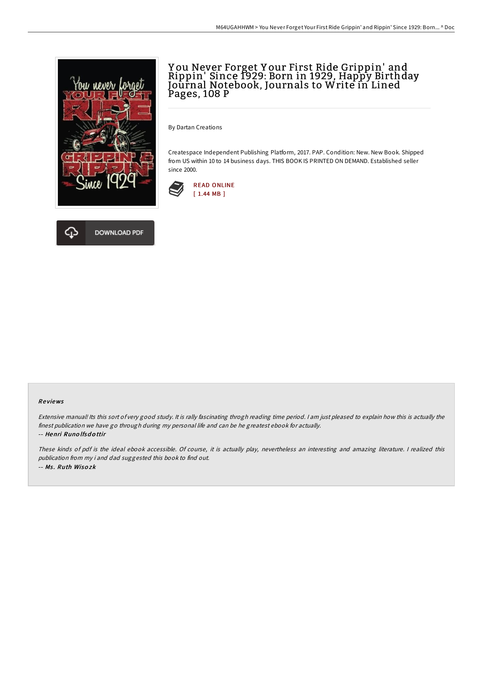

## Y ou Never Forget Y our First Ride Grippin' and Rippin' Since 1929: Born in 1929, Happy Birthday Journal Notebook, Journals to Write in Lined Pages, 108 P

By Dartan Creations

Createspace Independent Publishing Platform, 2017. PAP. Condition: New. New Book. Shipped from US within 10 to 14 business days. THIS BOOK IS PRINTED ON DEMAND. Established seller since 2000.





## Re views

Extensive manual! Its this sort of very good study. It is rally fascinating throgh reading time period. <sup>I</sup> am just pleased to explain how this is actually the finest publication we have go through during my personal life and can be he greatest ebook for actually.

-- Henri Runo lfsd <sup>o</sup> ttir

These kinds of pdf is the ideal ebook accessible. Of course, it is actually play, nevertheless an interesting and amazing literature. <sup>I</sup> realized this publication from my i and dad suggested this book to find out. -- Ms . Ruth Wiso zk